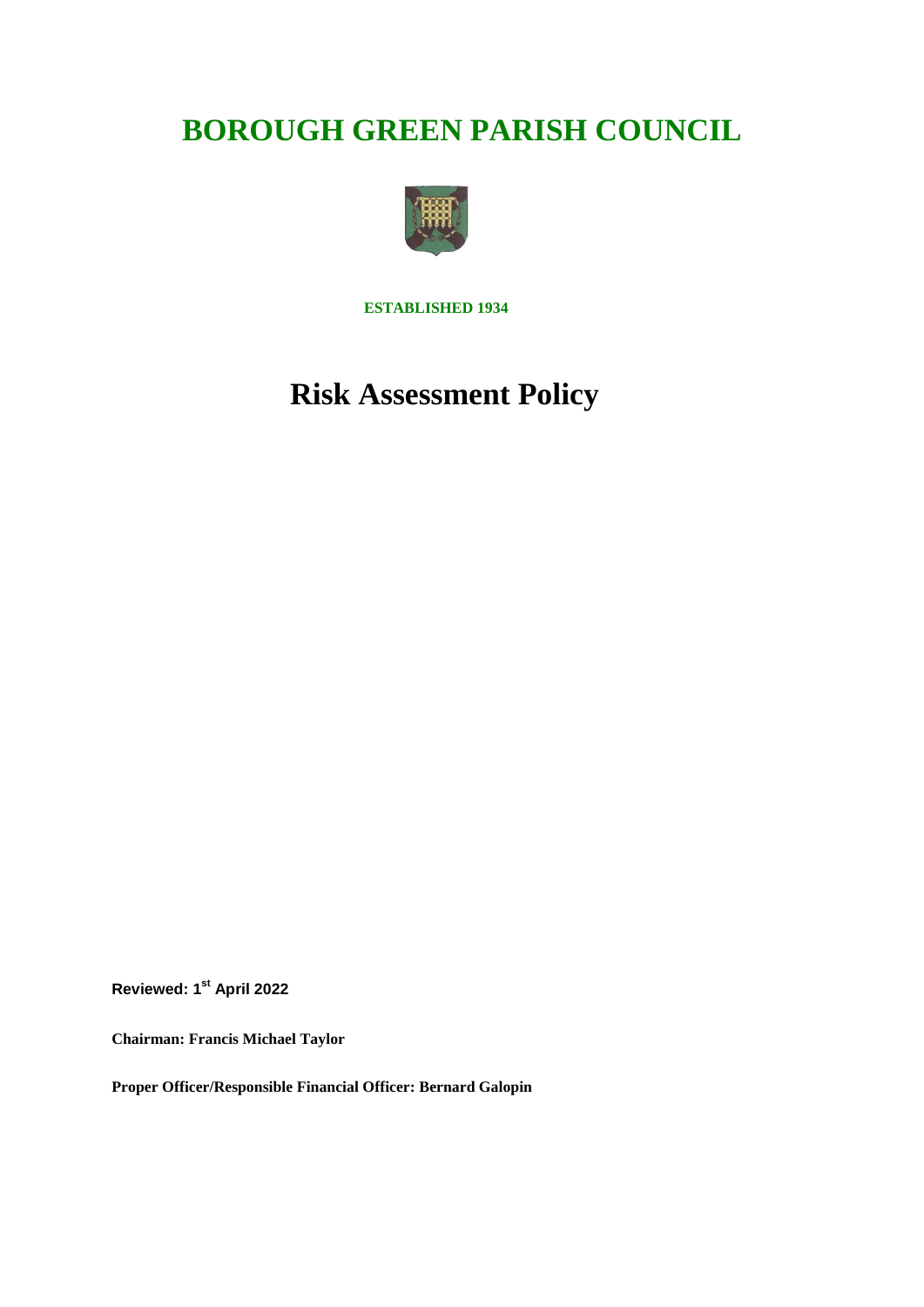# **BOROUGH GREEN PARISH COUNCIL**



**ESTABLISHED 1934**

# **Risk Assessment Policy**

**Reviewed: 1st April 2022**

**Chairman: Francis Michael Taylor**

**Proper Officer/Responsible Financial Officer: Bernard Galopin**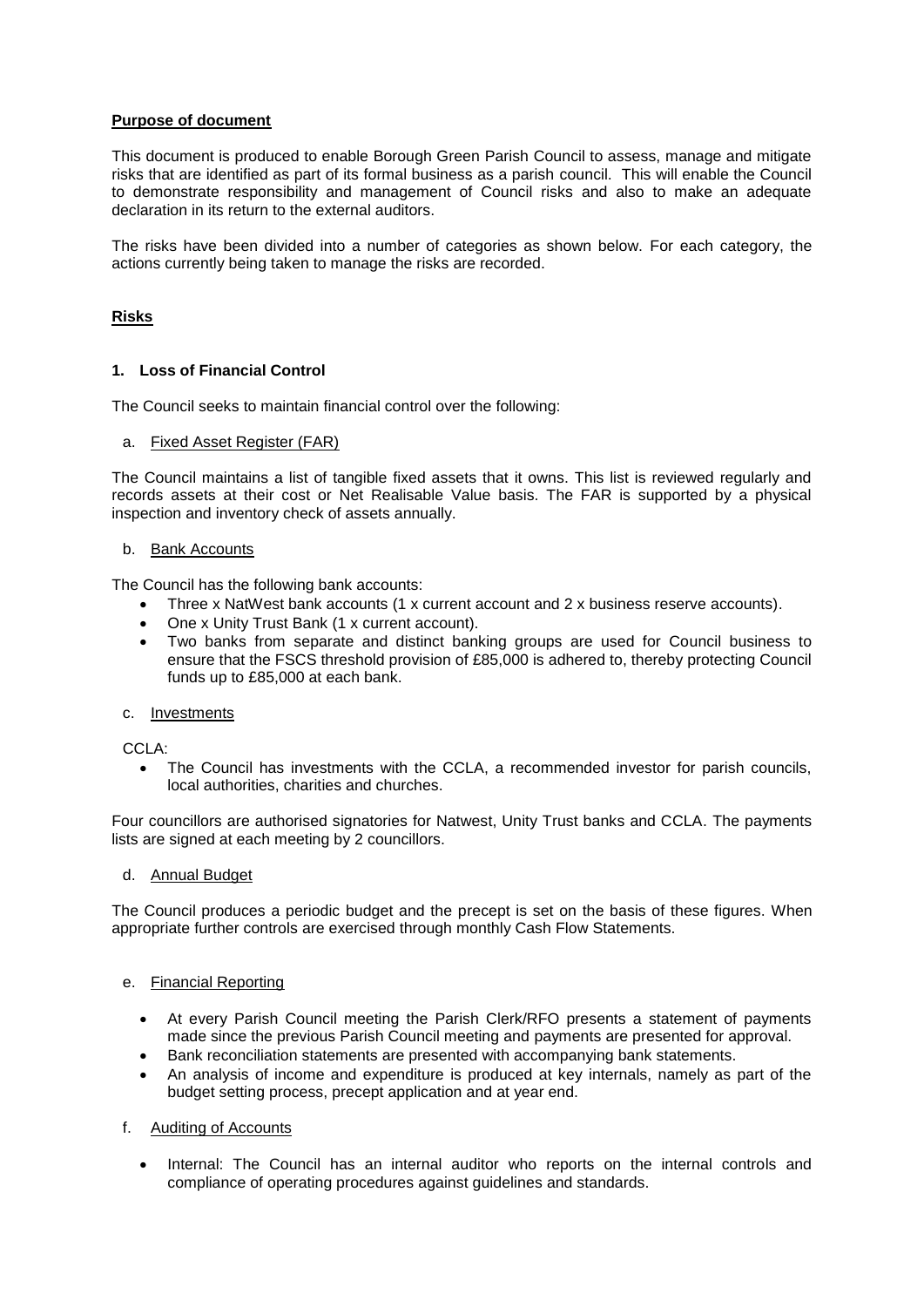# **Purpose of document**

This document is produced to enable Borough Green Parish Council to assess, manage and mitigate risks that are identified as part of its formal business as a parish council. This will enable the Council to demonstrate responsibility and management of Council risks and also to make an adequate declaration in its return to the external auditors.

The risks have been divided into a number of categories as shown below. For each category, the actions currently being taken to manage the risks are recorded.

## **Risks**

## **1. Loss of Financial Control**

The Council seeks to maintain financial control over the following:

#### a. Fixed Asset Register (FAR)

The Council maintains a list of tangible fixed assets that it owns. This list is reviewed regularly and records assets at their cost or Net Realisable Value basis. The FAR is supported by a physical inspection and inventory check of assets annually.

## b. Bank Accounts

The Council has the following bank accounts:

- Three x NatWest bank accounts (1 x current account and 2 x business reserve accounts).
- One x Unity Trust Bank (1 x current account).
- Two banks from separate and distinct banking groups are used for Council business to ensure that the FSCS threshold provision of £85,000 is adhered to, thereby protecting Council funds up to £85,000 at each bank.
- c. Investments

CCLA:

• The Council has investments with the CCLA, a recommended investor for parish councils, local authorities, charities and churches.

Four councillors are authorised signatories for Natwest, Unity Trust banks and CCLA. The payments lists are signed at each meeting by 2 councillors.

## d. Annual Budget

The Council produces a periodic budget and the precept is set on the basis of these figures. When appropriate further controls are exercised through monthly Cash Flow Statements.

### e. Financial Reporting

- At every Parish Council meeting the Parish Clerk/RFO presents a statement of payments made since the previous Parish Council meeting and payments are presented for approval.
- Bank reconciliation statements are presented with accompanying bank statements.
- An analysis of income and expenditure is produced at key internals, namely as part of the budget setting process, precept application and at year end.
- f. Auditing of Accounts
	- Internal: The Council has an internal auditor who reports on the internal controls and compliance of operating procedures against guidelines and standards.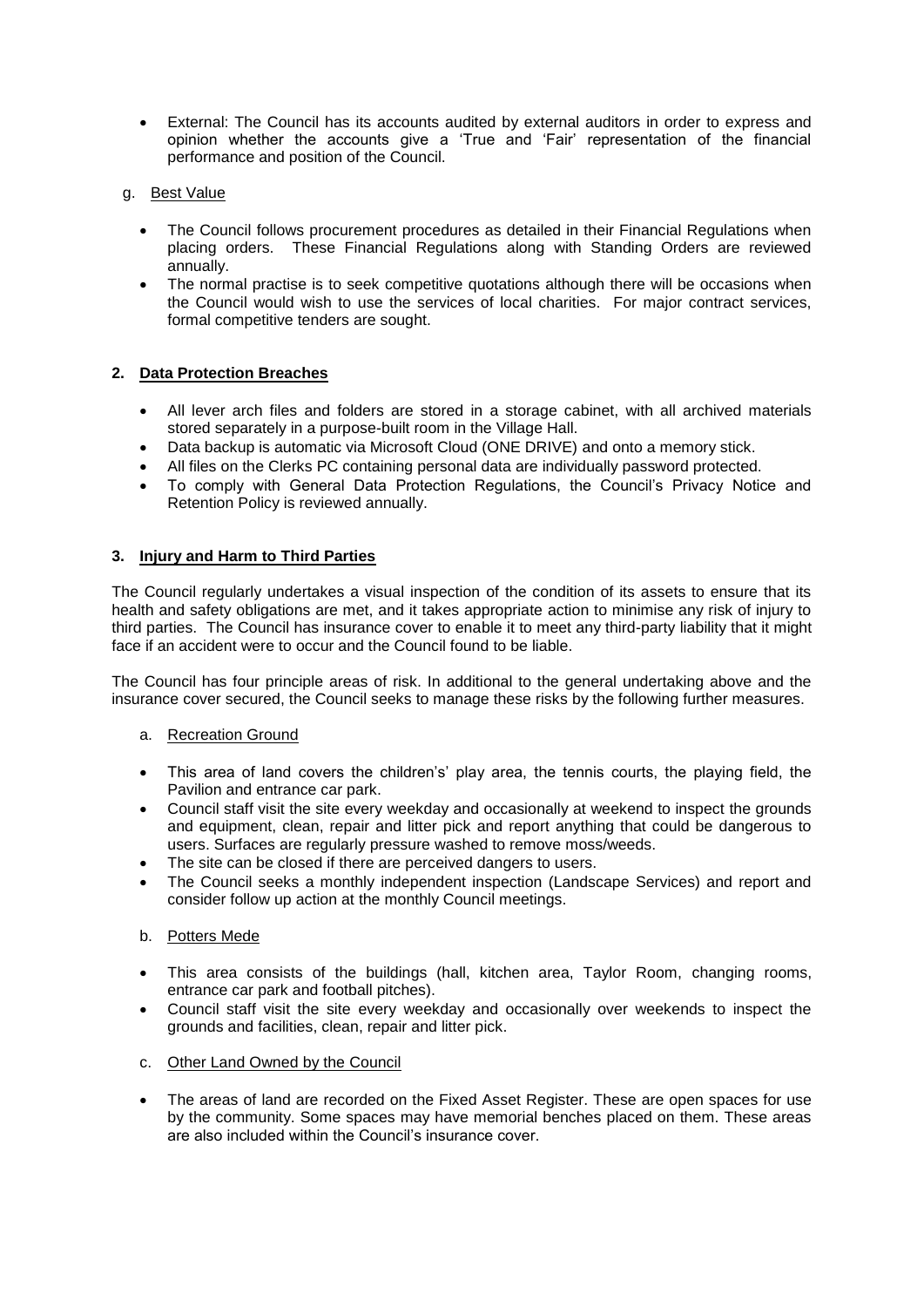- External: The Council has its accounts audited by external auditors in order to express and opinion whether the accounts give a 'True and 'Fair' representation of the financial performance and position of the Council.
- g. Best Value
	- The Council follows procurement procedures as detailed in their Financial Regulations when placing orders. These Financial Regulations along with Standing Orders are reviewed annually.
	- The normal practise is to seek competitive quotations although there will be occasions when the Council would wish to use the services of local charities. For major contract services, formal competitive tenders are sought.

# **2. Data Protection Breaches**

- All lever arch files and folders are stored in a storage cabinet, with all archived materials stored separately in a purpose-built room in the Village Hall.
- Data backup is automatic via Microsoft Cloud (ONE DRIVE) and onto a memory stick.
- All files on the Clerks PC containing personal data are individually password protected.
- To comply with General Data Protection Regulations, the Council's Privacy Notice and Retention Policy is reviewed annually.

# **3. Injury and Harm to Third Parties**

The Council regularly undertakes a visual inspection of the condition of its assets to ensure that its health and safety obligations are met, and it takes appropriate action to minimise any risk of injury to third parties. The Council has insurance cover to enable it to meet any third-party liability that it might face if an accident were to occur and the Council found to be liable.

The Council has four principle areas of risk. In additional to the general undertaking above and the insurance cover secured, the Council seeks to manage these risks by the following further measures.

# a. Recreation Ground

- This area of land covers the children's' play area, the tennis courts, the playing field, the Pavilion and entrance car park.
- Council staff visit the site every weekday and occasionally at weekend to inspect the grounds and equipment, clean, repair and litter pick and report anything that could be dangerous to users. Surfaces are regularly pressure washed to remove moss/weeds.
- The site can be closed if there are perceived dangers to users.
- The Council seeks a monthly independent inspection (Landscape Services) and report and consider follow up action at the monthly Council meetings.

# b. Potters Mede

- This area consists of the buildings (hall, kitchen area, Taylor Room, changing rooms, entrance car park and football pitches).
- Council staff visit the site every weekday and occasionally over weekends to inspect the grounds and facilities, clean, repair and litter pick.
- c. Other Land Owned by the Council
- The areas of land are recorded on the Fixed Asset Register. These are open spaces for use by the community. Some spaces may have memorial benches placed on them. These areas are also included within the Council's insurance cover.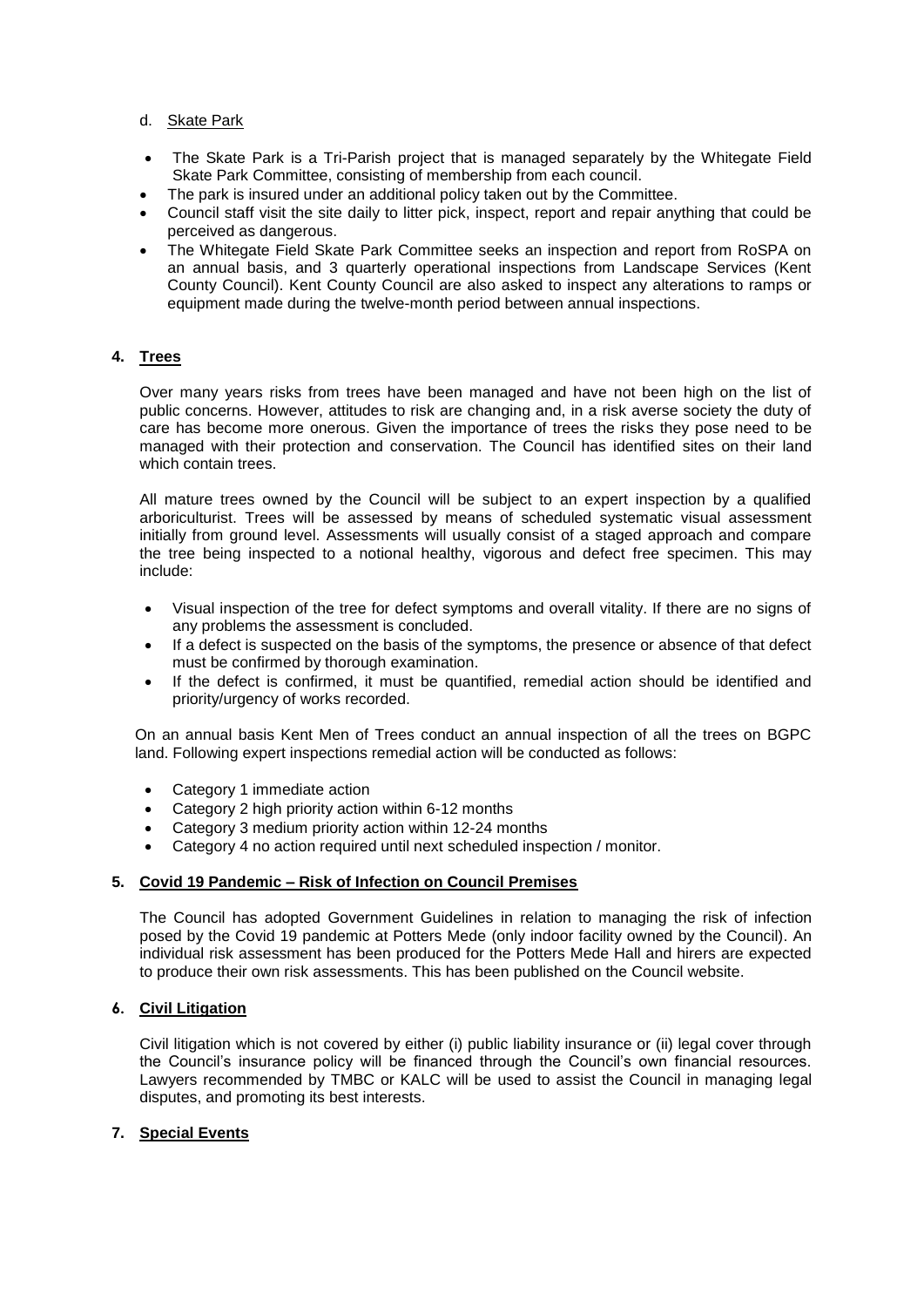## d. Skate Park

- The Skate Park is a Tri-Parish project that is managed separately by the Whitegate Field Skate Park Committee, consisting of membership from each council.
- The park is insured under an additional policy taken out by the Committee.
- Council staff visit the site daily to litter pick, inspect, report and repair anything that could be perceived as dangerous.
- The Whitegate Field Skate Park Committee seeks an inspection and report from RoSPA on an annual basis, and 3 quarterly operational inspections from Landscape Services (Kent County Council). Kent County Council are also asked to inspect any alterations to ramps or equipment made during the twelve-month period between annual inspections.

# **4. Trees**

Over many years risks from trees have been managed and have not been high on the list of public concerns. However, attitudes to risk are changing and, in a risk averse society the duty of care has become more onerous. Given the importance of trees the risks they pose need to be managed with their protection and conservation. The Council has identified sites on their land which contain trees.

All mature trees owned by the Council will be subject to an expert inspection by a qualified arboriculturist. Trees will be assessed by means of scheduled systematic visual assessment initially from ground level. Assessments will usually consist of a staged approach and compare the tree being inspected to a notional healthy, vigorous and defect free specimen. This may include:

- Visual inspection of the tree for defect symptoms and overall vitality. If there are no signs of any problems the assessment is concluded.
- If a defect is suspected on the basis of the symptoms, the presence or absence of that defect must be confirmed by thorough examination.
- If the defect is confirmed, it must be quantified, remedial action should be identified and priority/urgency of works recorded.

On an annual basis Kent Men of Trees conduct an annual inspection of all the trees on BGPC land. Following expert inspections remedial action will be conducted as follows:

- Category 1 immediate action
- Category 2 high priority action within 6-12 months
- Category 3 medium priority action within 12-24 months
- Category 4 no action required until next scheduled inspection / monitor.

### **5. Covid 19 Pandemic – Risk of Infection on Council Premises**

The Council has adopted Government Guidelines in relation to managing the risk of infection posed by the Covid 19 pandemic at Potters Mede (only indoor facility owned by the Council). An individual risk assessment has been produced for the Potters Mede Hall and hirers are expected to produce their own risk assessments. This has been published on the Council website.

## **6. Civil Litigation**

Civil litigation which is not covered by either (i) public liability insurance or (ii) legal cover through the Council's insurance policy will be financed through the Council's own financial resources. Lawyers recommended by TMBC or KALC will be used to assist the Council in managing legal disputes, and promoting its best interests.

# **7. Special Events**